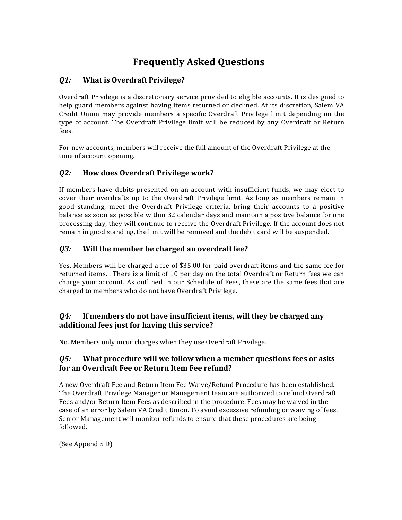# **Frequently Asked Questions**

## *Q1:* **What is Overdraft Privilege?**

Overdraft Privilege is a discretionary service provided to eligible accounts. It is designed to help guard members against having items returned or declined. At its discretion, Salem VA Credit Union may provide members a specific Overdraft Privilege limit depending on the type of account. The Overdraft Privilege limit will be reduced by any Overdraft or Return fees. 

For new accounts, members will receive the full amount of the Overdraft Privilege at the time of account opening.

## *Q2:* **How does Overdraft Privilege work?**

If members have debits presented on an account with insufficient funds, we may elect to cover their overdrafts up to the Overdraft Privilege limit. As long as members remain in good standing, meet the Overdraft Privilege criteria, bring their accounts to a positive balance as soon as possible within 32 calendar days and maintain a positive balance for one processing day, they will continue to receive the Overdraft Privilege. If the account does not remain in good standing, the limit will be removed and the debit card will be suspended. 

## *Q3:* **Will the member be charged an overdraft fee?**

Yes. Members will be charged a fee of \$35.00 for paid overdraft items and the same fee for returned items. There is a limit of 10 per day on the total Overdraft or Return fees we can charge your account. As outlined in our Schedule of Fees, these are the same fees that are charged to members who do not have Overdraft Privilege.

## *Q4***: If members do not have insufficient items, will they be charged any additional fees just for having this service?**

No. Members only incur charges when they use Overdraft Privilege.

## *Q5:* **What procedure will we follow when a member questions fees or asks for an Overdraft Fee or Return Item Fee refund?**

A new Overdraft Fee and Return Item Fee Waive/Refund Procedure has been established. The Overdraft Privilege Manager or Management team are authorized to refund Overdraft Fees and/or Return Item Fees as described in the procedure. Fees may be waived in the case of an error by Salem VA Credit Union. To avoid excessive refunding or waiving of fees, Senior Management will monitor refunds to ensure that these procedures are being followed. 

(See Appendix D)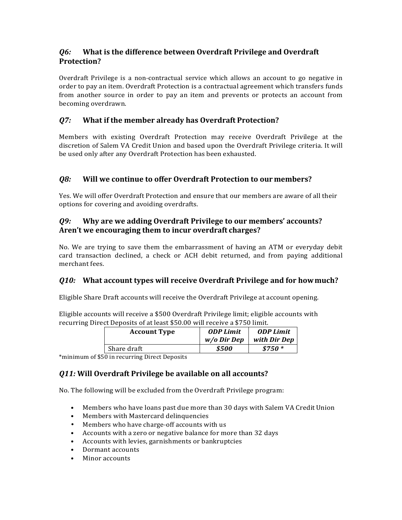## *Q6:* **What is the difference between Overdraft Privilege and Overdraft Protection?**

Overdraft Privilege is a non-contractual service which allows an account to go negative in order to pay an item. Overdraft Protection is a contractual agreement which transfers funds from another source in order to pay an item and prevents or protects an account from becoming overdrawn.

# **Q7:** What if the member already has Overdraft Protection?

Members with existing Overdraft Protection may receive Overdraft Privilege at the discretion of Salem VA Credit Union and based upon the Overdraft Privilege criteria. It will be used only after any Overdraft Protection has been exhausted.

## *Q8:* **Will we continue to offer Overdraft Protection to our members?**

Yes. We will offer Overdraft Protection and ensure that our members are aware of all their options for covering and avoiding overdrafts.

## *Q9:* **Why are we adding Overdraft Privilege to our members' accounts?** Aren't we encouraging them to incur overdraft charges?

No. We are trying to save them the embarrassment of having an ATM or everyday debit card transaction declined, a check or ACH debit returned, and from paying additional merchant fees.

## *Q10:* **What account types will receive Overdraft Privilege and for how much?**

Eligible Share Draft accounts will receive the Overdraft Privilege at account opening.

Eligible accounts will receive a \$500 Overdraft Privilege limit; eligible accounts with recurring Direct Deposits of at least \$50.00 will receive a \$750 limit.

| <b>Account Type</b> | <b>ODP Limit</b> | <b>ODP Limit</b> |
|---------------------|------------------|------------------|
|                     | $w/o$ Dir Dep    | with Dir Dep     |
| Share draft         | \$500            | \$750 *          |

\*minimum of \$50 in recurring Direct Deposits

# *Q11:* **Will Overdraft Privilege be available on all accounts?**

No. The following will be excluded from the Overdraft Privilege program:

- Members who have loans past due more than 30 days with Salem VA Credit Union
- Members with Mastercard delinquencies
- Members who have charge-off accounts with us
- Accounts with a zero or negative balance for more than 32 days
- Accounts with levies, garnishments or bankruptcies
- Dormant accounts
- Minor accounts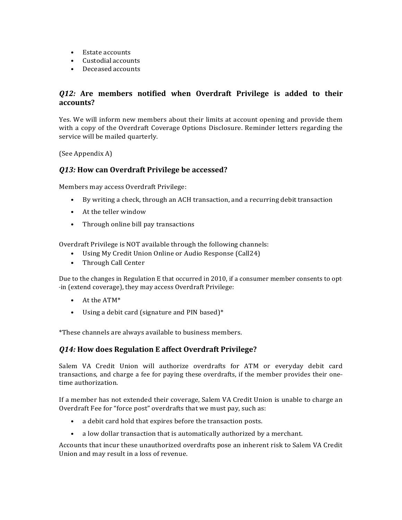- Estate accounts
- Custodial accounts
- Deceased accounts

## **Q12:** Are members notified when Overdraft Privilege is added to their **accounts?**

Yes. We will inform new members about their limits at account opening and provide them with a copy of the Overdraft Coverage Options Disclosure. Reminder letters regarding the service will be mailed quarterly.

(See Appendix A)

## **Q13:** How can Overdraft Privilege be accessed?

Members may access Overdraft Privilege:

- By writing a check, through an ACH transaction, and a recurring debit transaction
- $\bullet$  At the teller window
- Through online bill pay transactions

Overdraft Privilege is NOT available through the following channels:

- Using My Credit Union Online or Audio Response (Call24)
- Through Call Center

Due to the changes in Regulation E that occurred in 2010, if a consumer member consents to opt---in (extend coverage), they may access Overdraft Privilege:

- $\bullet$  At the ATM\*
- Using a debit card (signature and PIN based)\*

\*These channels are always available to business members.

## *Q14:* **How does Regulation E affect Overdraft Privilege?**

Salem VA Credit Union will authorize overdrafts for ATM or everyday debit card transactions, and charge a fee for paying these overdrafts, if the member provides their one-time authorization.

If a member has not extended their coverage, Salem VA Credit Union is unable to charge an Overdraft Fee for "force post" overdrafts that we must pay, such as:

- a debit card hold that expires before the transaction posts.
- a low dollar transaction that is automatically authorized by a merchant.

Accounts that incur these unauthorized overdrafts pose an inherent risk to Salem VA Credit Union and may result in a loss of revenue.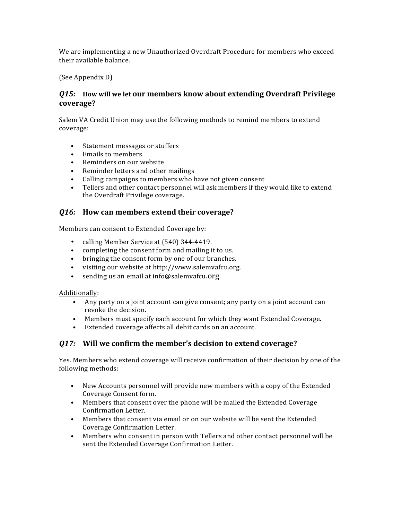We are implementing a new Unauthorized Overdraft Procedure for members who exceed their available balance.

(See Appendix D)

#### *Q15:* **How will we let our members know about extending Overdraft Privilege coverage?**

Salem VA Credit Union may use the following methods to remind members to extend coverage:

- Statement messages or stuffers
- Emails to members
- Reminders on our website
- Reminder letters and other mailings
- Calling campaigns to members who have not given consent
- Tellers and other contact personnel will ask members if they would like to extend the Overdraft Privilege coverage.

#### *Q16:* **How can members extend their coverage?**

Members can consent to Extended Coverage by:

- calling Member Service at (540) 344-4419.
- completing the consent form and mailing it to us.
- bringing the consent form by one of our branches.
- visiting our website at http://www.salemvafcu.org.
- sending us an email at info@salemvafcu.org.

#### Additionally:

- Any party on a joint account can give consent; any party on a joint account can revoke the decision.
- Members must specify each account for which they want Extended Coverage.
- Extended coverage affects all debit cards on an account.

## *Q17:* **Will we confirm the member's decision to extend coverage?**

Yes. Members who extend coverage will receive confirmation of their decision by one of the following methods:

- New Accounts personnel will provide new members with a copy of the Extended Coverage Consent form.
- Members that consent over the phone will be mailed the Extended Coverage Confirmation Letter.
- Members that consent via email or on our website will be sent the Extended Coverage Confirmation Letter.
- Members who consent in person with Tellers and other contact personnel will be sent the Extended Coverage Confirmation Letter.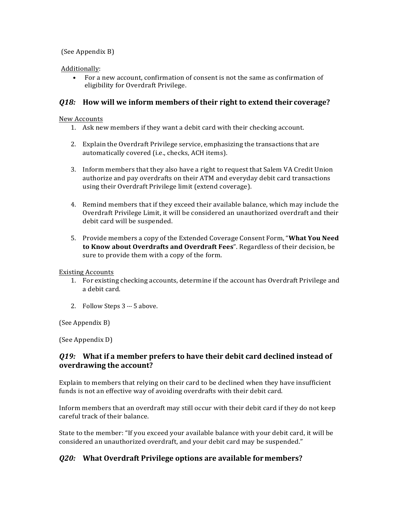#### (See Appendix B)

#### Additionally:

• For a new account, confirmation of consent is not the same as confirmation of eligibility for Overdraft Privilege.

#### *Q18:* **How will we inform members of their right to extend their coverage?**

#### New Accounts

- 1. Ask new members if they want a debit card with their checking account.
- 2. Explain the Overdraft Privilege service, emphasizing the transactions that are automatically covered (i.e., checks, ACH items).
- 3. Inform members that they also have a right to request that Salem VA Credit Union authorize and pay overdrafts on their ATM and everyday debit card transactions using their Overdraft Privilege limit (extend coverage).
- 4. Remind members that if they exceed their available balance, which may include the Overdraft Privilege Limit, it will be considered an unauthorized overdraft and their debit card will be suspended.
- 5. Provide members a copy of the Extended Coverage Consent Form, "**What You Need to Know about Overdrafts and Overdraft Fees**". Regardless of their decision, be sure to provide them with a copy of the form.

Existing Accounts

- 1. For existing checking accounts, determine if the account has Overdraft Privilege and a debit card.
- 2. Follow Steps  $3 5$  above.

(See Appendix B)

(See Appendix D)

#### *Q19:* **What if a member prefers to have their debit card declined instead of overdrawing the account?**

Explain to members that relying on their card to be declined when they have insufficient funds is not an effective way of avoiding overdrafts with their debit card.

Inform members that an overdraft may still occur with their debit card if they do not keep careful track of their balance.

State to the member: "If you exceed your available balance with your debit card, it will be considered an unauthorized overdraft, and your debit card may be suspended."

## **Q20:** What Overdraft Privilege options are available for members?